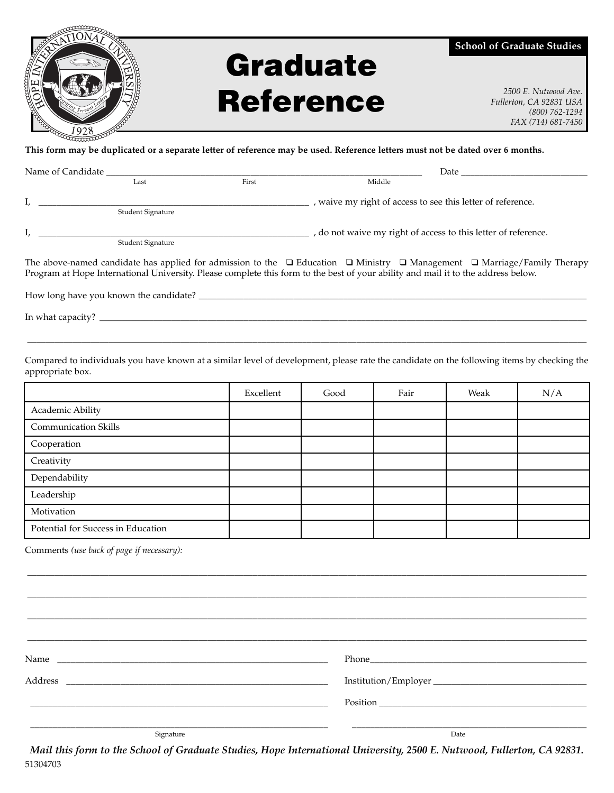

## **Graduate Reference** *2500 E. Nutwood Ave.*<br>*Fullerton, CA 92831 USA*

**School of Graduate Studies**

*Fullerton, CA 92831 USA (800) 762-1294 FAX (714) 681-7450*

**This form may be duplicated or a separate letter of reference may be used. Reference letters must not be dated over 6 months.**

| Name of Candidate |                   |       | Date and the same of the same of the same of the same of the same of the same of the same of the same of the s |  |  |
|-------------------|-------------------|-------|----------------------------------------------------------------------------------------------------------------|--|--|
|                   | Last              | First | Middle                                                                                                         |  |  |
|                   |                   |       | , waive my right of access to see this letter of reference.                                                    |  |  |
|                   | Student Signature |       |                                                                                                                |  |  |
|                   |                   |       | , do not waive my right of access to this letter of reference.                                                 |  |  |
|                   | Student Signature |       |                                                                                                                |  |  |

The above-named candidate has applied for admission to the ❑ Education ❑ Ministry ❑ Management ❑ Marriage/Family Therapy Program at Hope International University. Please complete this form to the best of your ability and mail it to the address below.

How long have you known the candidate? \_\_\_\_\_\_\_\_\_\_\_\_\_\_\_\_\_\_\_\_\_\_\_\_\_\_\_\_\_\_\_\_\_\_\_\_\_\_\_\_\_\_\_\_\_\_\_\_\_\_\_\_\_\_\_\_\_\_\_\_\_\_\_\_\_\_\_\_\_\_\_\_\_\_\_\_\_\_\_\_\_\_\_\_\_\_

In what capacity? \_\_\_\_\_\_\_\_\_\_\_\_\_\_\_\_\_\_\_\_\_\_\_\_\_\_\_\_\_\_\_\_\_\_\_\_\_\_\_\_\_\_\_\_\_\_\_\_\_\_\_\_\_\_\_\_\_\_\_\_\_\_\_\_\_\_\_\_\_\_\_\_\_\_\_\_\_\_\_\_\_\_\_\_\_\_\_\_\_\_\_\_\_\_\_\_\_\_\_\_\_\_\_\_\_\_\_\_

Compared to individuals you have known at a similar level of development, please rate the candidate on the following items by checking the appropriate box.

\_\_\_\_\_\_\_\_\_\_\_\_\_\_\_\_\_\_\_\_\_\_\_\_\_\_\_\_\_\_\_\_\_\_\_\_\_\_\_\_\_\_\_\_\_\_\_\_\_\_\_\_\_\_\_\_\_\_\_\_\_\_\_\_\_\_\_\_\_\_\_\_\_\_\_\_\_\_\_\_\_\_\_\_\_\_\_\_\_\_\_\_\_\_\_\_\_\_\_\_\_\_\_\_\_\_\_\_\_\_\_\_\_\_\_\_\_\_\_\_\_\_\_\_

|                                    | Excellent | Good | Fair | Weak | N/A |
|------------------------------------|-----------|------|------|------|-----|
| Academic Ability                   |           |      |      |      |     |
| <b>Communication Skills</b>        |           |      |      |      |     |
| Cooperation                        |           |      |      |      |     |
| Creativity                         |           |      |      |      |     |
| Dependability                      |           |      |      |      |     |
| Leadership                         |           |      |      |      |     |
| Motivation                         |           |      |      |      |     |
| Potential for Success in Education |           |      |      |      |     |

Comments *(use back of page if necessary):*

\_\_\_\_\_\_\_\_\_\_\_\_\_\_\_\_\_\_\_\_\_\_\_\_\_\_\_\_\_\_\_\_\_\_\_\_\_\_\_\_\_\_\_\_\_\_\_\_\_\_\_\_\_\_\_\_\_\_\_\_\_\_\_\_\_\_\_\_\_\_\_\_\_\_\_\_\_\_\_\_\_\_\_\_\_\_\_\_\_\_\_\_\_\_\_\_\_\_\_\_\_\_\_\_\_\_\_\_\_\_\_\_\_\_\_\_\_\_\_\_\_\_\_\_ \_\_\_\_\_\_\_\_\_\_\_\_\_\_\_\_\_\_\_\_\_\_\_\_\_\_\_\_\_\_\_\_\_\_\_\_\_\_\_\_\_\_\_\_\_\_\_\_\_\_\_\_\_\_\_\_\_\_\_\_\_\_\_\_\_\_\_\_\_\_\_\_\_\_\_\_\_\_\_\_\_\_\_\_\_\_\_\_\_\_\_\_\_\_\_\_\_\_\_\_\_\_\_\_\_\_\_\_\_\_\_\_\_\_\_\_\_\_\_\_\_\_\_\_ \_\_\_\_\_\_\_\_\_\_\_\_\_\_\_\_\_\_\_\_\_\_\_\_\_\_\_\_\_\_\_\_\_\_\_\_\_\_\_\_\_\_\_\_\_\_\_\_\_\_\_\_\_\_\_\_\_\_\_\_\_\_\_\_\_\_\_\_\_\_\_\_\_\_\_\_\_\_\_\_\_\_\_\_\_\_\_\_\_\_\_\_\_\_\_\_\_\_\_\_\_\_\_\_\_\_\_\_\_\_\_\_\_\_\_\_\_\_\_\_\_\_\_\_ Name \_\_\_\_\_\_\_\_\_\_\_\_\_\_\_\_\_\_\_\_\_\_\_\_\_\_\_\_\_\_\_\_\_\_\_\_\_\_\_\_\_\_\_\_\_\_\_\_\_\_\_\_\_\_\_\_\_\_\_\_ Phone\_\_\_\_\_\_\_\_\_\_\_\_\_\_\_\_\_\_\_\_\_\_\_\_\_\_\_\_\_\_\_\_\_\_\_\_\_\_\_\_\_\_\_\_\_\_\_\_ Address \_\_\_\_\_\_\_\_\_\_\_\_\_\_\_\_\_\_\_\_\_\_\_\_\_\_\_\_\_\_\_\_\_\_\_\_\_\_\_\_\_\_\_\_\_\_\_\_\_\_\_\_\_\_\_\_\_\_ Institution/Employer \_\_\_\_\_\_\_\_\_\_\_\_\_\_\_\_\_\_\_\_\_\_\_\_\_\_\_\_\_\_\_\_\_\_ \_\_\_\_\_\_\_\_\_\_\_\_\_\_\_\_\_\_\_\_\_\_\_\_\_\_\_\_\_\_\_\_\_\_\_\_\_\_\_\_\_\_\_\_\_\_\_\_\_\_\_\_\_\_\_\_\_\_\_\_\_\_\_\_\_\_ Position \_\_\_\_\_\_\_\_\_\_\_\_\_\_\_\_\_\_\_\_\_\_\_\_\_\_\_\_\_\_\_\_\_\_\_\_\_\_\_\_\_\_\_\_\_\_ \_\_\_\_\_\_\_\_\_\_\_\_\_\_\_\_\_\_\_\_\_\_\_\_\_\_\_\_\_\_\_\_\_\_\_\_\_\_\_\_\_\_\_\_\_\_\_\_\_\_\_\_\_\_\_\_\_\_\_\_\_\_\_\_\_\_ \_\_\_\_\_\_\_\_\_\_\_\_\_\_\_\_\_\_\_\_\_\_\_\_\_\_\_\_\_\_\_\_\_\_\_\_\_\_\_\_\_\_\_\_\_\_\_\_\_\_\_\_ Signature Date Date of the Signature Date of the Signature Date of the Date of the Date of the Date of the Date of the Date of the Date of the Date of the Date of the Date of the Date of the Date of the Date of the Date of

\_\_\_\_\_\_\_\_\_\_\_\_\_\_\_\_\_\_\_\_\_\_\_\_\_\_\_\_\_\_\_\_\_\_\_\_\_\_\_\_\_\_\_\_\_\_\_\_\_\_\_\_\_\_\_\_\_\_\_\_\_\_\_\_\_\_\_\_\_\_\_\_\_\_\_\_\_\_\_\_\_\_\_\_\_\_\_\_\_\_\_\_\_\_\_\_\_\_\_\_\_\_\_\_\_\_\_\_\_\_\_\_\_\_\_\_\_\_\_\_\_\_\_\_

*Mail this form to the School of Graduate Studies, Hope International University, 2500 E. Nutwood, Fullerton, CA 92831.* 51304703